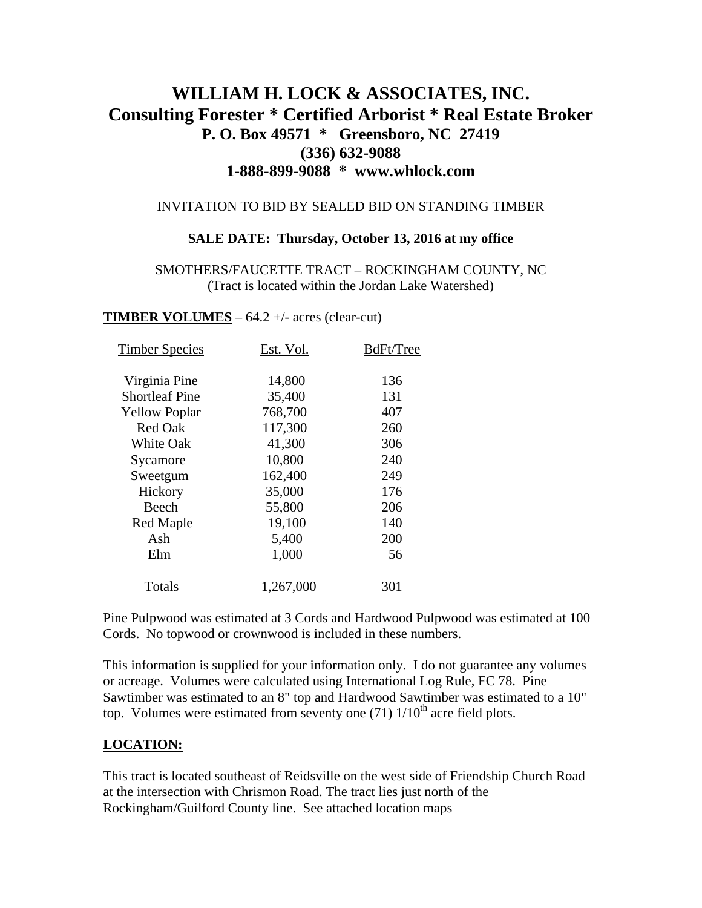# **WILLIAM H. LOCK & ASSOCIATES, INC. Consulting Forester \* Certified Arborist \* Real Estate Broker P. O. Box 49571 \* Greensboro, NC 27419 (336) 632-9088 1-888-899-9088 \* www.whlock.com**

#### INVITATION TO BID BY SEALED BID ON STANDING TIMBER

#### **SALE DATE: Thursday, October 13, 2016 at my office**

SMOTHERS/FAUCETTE TRACT – ROCKINGHAM COUNTY, NC (Tract is located within the Jordan Lake Watershed)

#### **TIMBER VOLUMES** – 64.2 +/- acres (clear-cut)

| Est. Vol. | BdFt/Tree |
|-----------|-----------|
|           |           |
|           | 136       |
| 35,400    | 131       |
| 768,700   | 407       |
| 117,300   | 260       |
| 41,300    | 306       |
| 10,800    | 240       |
| 162,400   | 249       |
| 35,000    | 176       |
| 55,800    | 206       |
| 19,100    | 140       |
| 5,400     | 200       |
| 1,000     | 56        |
| 1,267,000 | 301       |
|           | 14,800    |

Pine Pulpwood was estimated at 3 Cords and Hardwood Pulpwood was estimated at 100 Cords. No topwood or crownwood is included in these numbers.

This information is supplied for your information only. I do not guarantee any volumes or acreage. Volumes were calculated using International Log Rule, FC 78. Pine Sawtimber was estimated to an 8" top and Hardwood Sawtimber was estimated to a 10" top. Volumes were estimated from seventy one  $(71)$   $1/10<sup>th</sup>$  acre field plots.

### **LOCATION:**

This tract is located southeast of Reidsville on the west side of Friendship Church Road at the intersection with Chrismon Road. The tract lies just north of the Rockingham/Guilford County line. See attached location maps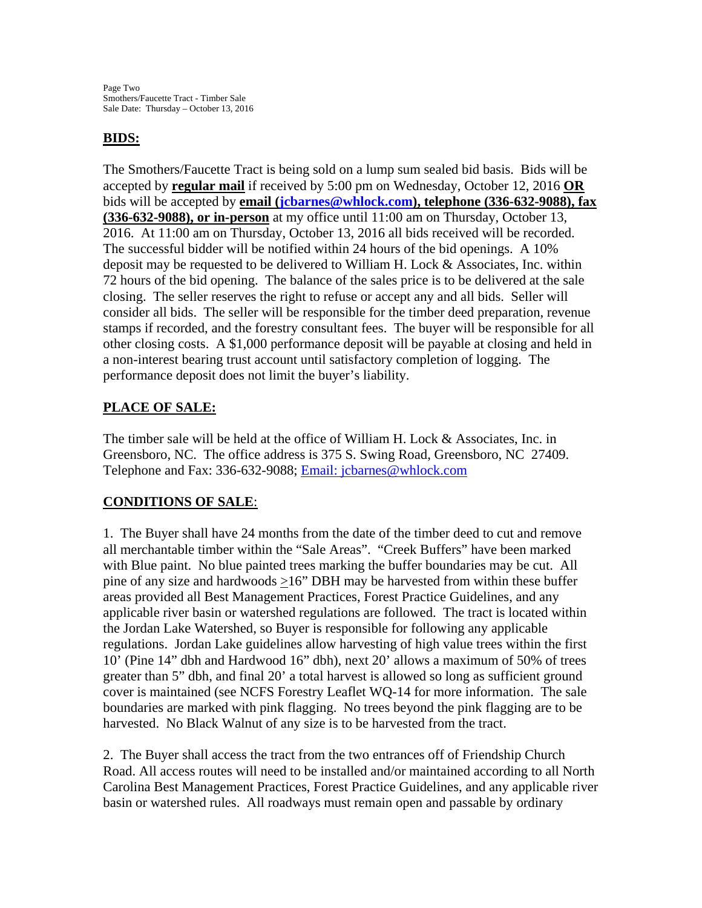### **BIDS:**

The Smothers/Faucette Tract is being sold on a lump sum sealed bid basis. Bids will be accepted by **regular mail** if received by 5:00 pm on Wednesday, October 12, 2016 **OR** bids will be accepted by **email ([jcbarnes@whlock.com](mailto:jcbarnes@whlock.com)), telephone (336-632-9088), fax (336-632-9088), or in-person** at my office until 11:00 am on Thursday, October 13, 2016. At 11:00 am on Thursday, October 13, 2016 all bids received will be recorded. The successful bidder will be notified within 24 hours of the bid openings. A 10% deposit may be requested to be delivered to William H. Lock & Associates, Inc. within 72 hours of the bid opening. The balance of the sales price is to be delivered at the sale closing. The seller reserves the right to refuse or accept any and all bids. Seller will consider all bids. The seller will be responsible for the timber deed preparation, revenue stamps if recorded, and the forestry consultant fees. The buyer will be responsible for all other closing costs. A \$1,000 performance deposit will be payable at closing and held in a non-interest bearing trust account until satisfactory completion of logging. The performance deposit does not limit the buyer's liability.

## **PLACE OF SALE:**

The timber sale will be held at the office of William H. Lock & Associates, Inc. in Greensboro, NC. The office address is 375 S. Swing Road, Greensboro, NC 27409. Telephone and Fax: 336-632-9088; [Email: jcbarnes@whlock.com](mailto:Email:%20jcbarnes@whlock.com) 

## **CONDITIONS OF SALE**:

1. The Buyer shall have 24 months from the date of the timber deed to cut and remove all merchantable timber within the "Sale Areas". "Creek Buffers" have been marked with Blue paint. No blue painted trees marking the buffer boundaries may be cut. All pine of any size and hardwoods  $\geq 16$ " DBH may be harvested from within these buffer areas provided all Best Management Practices, Forest Practice Guidelines, and any applicable river basin or watershed regulations are followed. The tract is located within the Jordan Lake Watershed, so Buyer is responsible for following any applicable regulations. Jordan Lake guidelines allow harvesting of high value trees within the first 10' (Pine 14" dbh and Hardwood 16" dbh), next 20' allows a maximum of 50% of trees greater than 5" dbh, and final 20' a total harvest is allowed so long as sufficient ground cover is maintained (see NCFS Forestry Leaflet WQ-14 for more information. The sale boundaries are marked with pink flagging. No trees beyond the pink flagging are to be harvested. No Black Walnut of any size is to be harvested from the tract.

2. The Buyer shall access the tract from the two entrances off of Friendship Church Road. All access routes will need to be installed and/or maintained according to all North Carolina Best Management Practices, Forest Practice Guidelines, and any applicable river basin or watershed rules. All roadways must remain open and passable by ordinary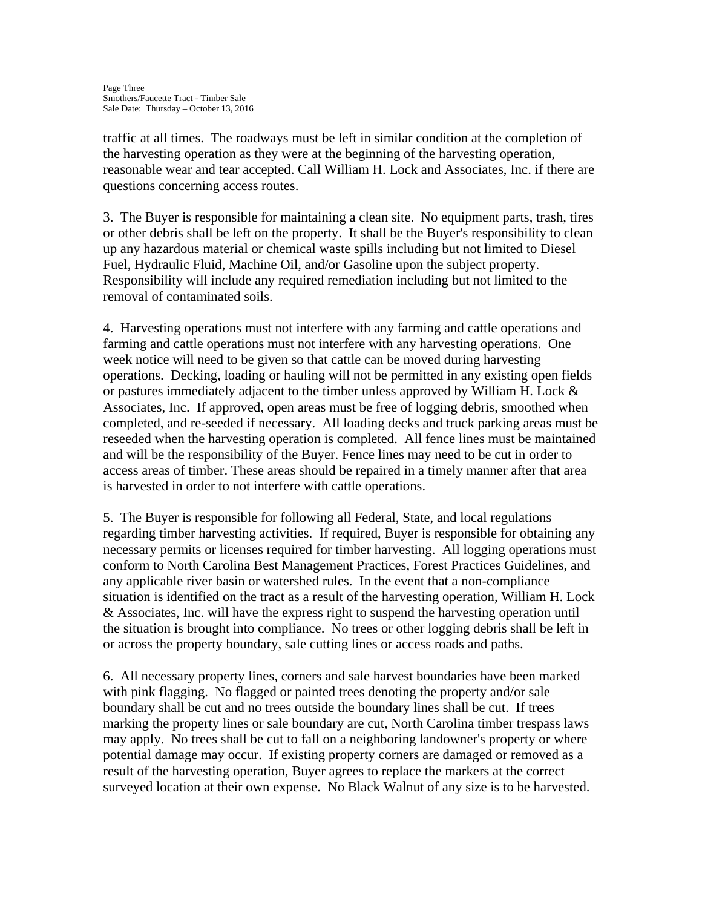traffic at all times. The roadways must be left in similar condition at the completion of the harvesting operation as they were at the beginning of the harvesting operation, reasonable wear and tear accepted. Call William H. Lock and Associates, Inc. if there are questions concerning access routes.

3. The Buyer is responsible for maintaining a clean site. No equipment parts, trash, tires or other debris shall be left on the property. It shall be the Buyer's responsibility to clean up any hazardous material or chemical waste spills including but not limited to Diesel Fuel, Hydraulic Fluid, Machine Oil, and/or Gasoline upon the subject property. Responsibility will include any required remediation including but not limited to the removal of contaminated soils.

4. Harvesting operations must not interfere with any farming and cattle operations and farming and cattle operations must not interfere with any harvesting operations. One week notice will need to be given so that cattle can be moved during harvesting operations. Decking, loading or hauling will not be permitted in any existing open fields or pastures immediately adjacent to the timber unless approved by William H. Lock & Associates, Inc. If approved, open areas must be free of logging debris, smoothed when completed, and re-seeded if necessary. All loading decks and truck parking areas must be reseeded when the harvesting operation is completed. All fence lines must be maintained and will be the responsibility of the Buyer. Fence lines may need to be cut in order to access areas of timber. These areas should be repaired in a timely manner after that area is harvested in order to not interfere with cattle operations.

5. The Buyer is responsible for following all Federal, State, and local regulations regarding timber harvesting activities. If required, Buyer is responsible for obtaining any necessary permits or licenses required for timber harvesting. All logging operations must conform to North Carolina Best Management Practices, Forest Practices Guidelines, and any applicable river basin or watershed rules. In the event that a non-compliance situation is identified on the tract as a result of the harvesting operation, William H. Lock & Associates, Inc. will have the express right to suspend the harvesting operation until the situation is brought into compliance. No trees or other logging debris shall be left in or across the property boundary, sale cutting lines or access roads and paths.

6. All necessary property lines, corners and sale harvest boundaries have been marked with pink flagging. No flagged or painted trees denoting the property and/or sale boundary shall be cut and no trees outside the boundary lines shall be cut. If trees marking the property lines or sale boundary are cut, North Carolina timber trespass laws may apply. No trees shall be cut to fall on a neighboring landowner's property or where potential damage may occur. If existing property corners are damaged or removed as a result of the harvesting operation, Buyer agrees to replace the markers at the correct surveyed location at their own expense. No Black Walnut of any size is to be harvested.